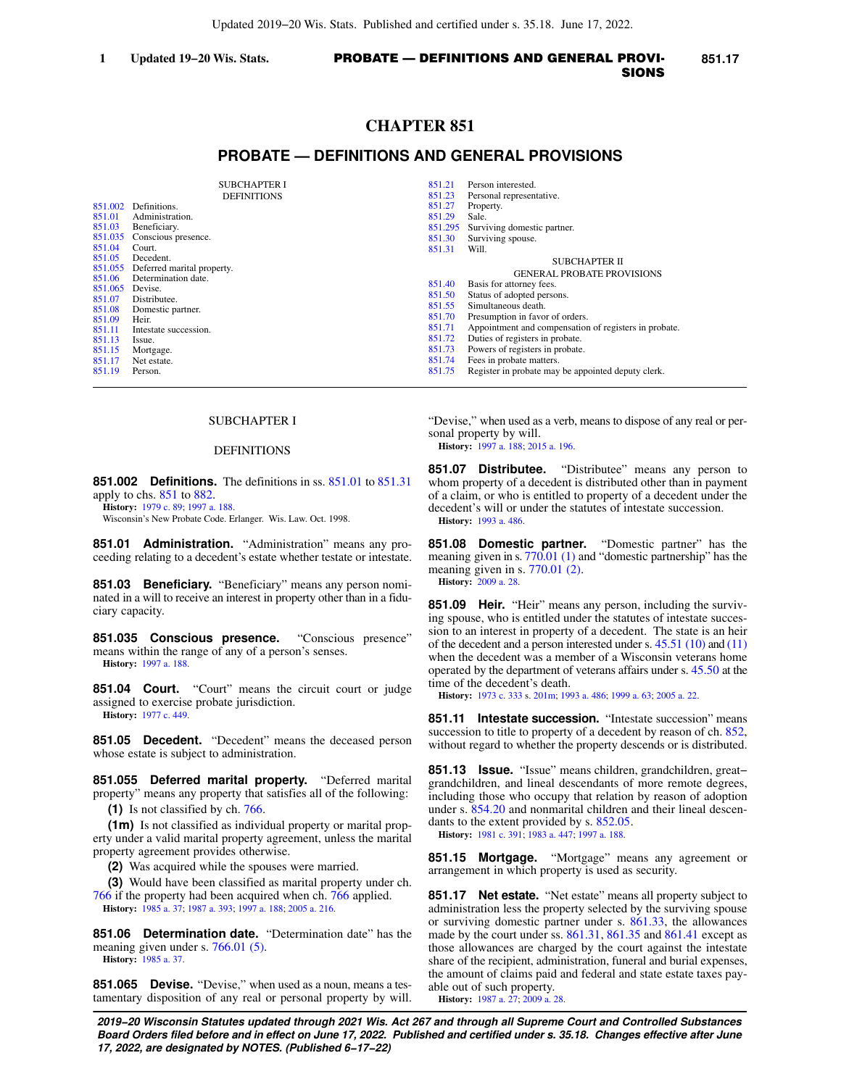# **CHAPTER 851**

## **PROBATE — DEFINITIONS AND GENERAL PROVISIONS**

|                   | <b>SUBCHAPTER I</b><br><b>DEFINITIONS</b> | 851.21<br>851.23 | Person interested.<br>Personal representative.        |
|-------------------|-------------------------------------------|------------------|-------------------------------------------------------|
| 851.002           | Definitions.                              | 851.27           | Property.                                             |
| 851.01            | Administration.                           | 851.29           | Sale.                                                 |
| 851.03            | Beneficiary.                              | 851.295          | Surviving domestic partner.                           |
| 851.035           | Conscious presence.                       | 851.30           | Surviving spouse.                                     |
| 851.04            | Court.                                    | 851.31           | Will.                                                 |
| 851.05            | Decedent.                                 |                  | <b>SUBCHAPTER II</b>                                  |
| 851.055           | Deferred marital property.                |                  | <b>GENERAL PROBATE PROVISIONS</b>                     |
| 851.06            | Determination date.                       | 851.40           | Basis for attorney fees.                              |
| 851.065<br>851.07 | Devise.<br>Distributee.                   | 851.50           | Status of adopted persons.                            |
| 851.08            | Domestic partner.                         | 851.55           | Simultaneous death.                                   |
| 851.09            | Heir.                                     | 851.70           | Presumption in favor of orders.                       |
| 851.11            | Intestate succession.                     | 851.71           | Appointment and compensation of registers in probate. |
| 851.13            | Issue.                                    | 851.72           | Duties of registers in probate.                       |
| 851.15            | Mortgage.                                 | 851.73           | Powers of registers in probate.                       |
| 851.17            | Net estate.                               | 851.74           | Fees in probate matters.                              |
| 851.19            | Person.                                   | 851.75           | Register in probate may be appointed deputy clerk.    |
|                   |                                           |                  |                                                       |

### SUBCHAPTER I

### DEFINITIONS

**851.002 Definitions.** The definitions in ss. [851.01](https://docs.legis.wisconsin.gov/document/statutes/851.01) to [851.31](https://docs.legis.wisconsin.gov/document/statutes/851.31) apply to chs. [851](https://docs.legis.wisconsin.gov/document/statutes/ch.%20851) to [882.](https://docs.legis.wisconsin.gov/document/statutes/ch.%20882)

**History:** [1979 c. 89;](https://docs.legis.wisconsin.gov/document/acts/1979/89) [1997 a. 188.](https://docs.legis.wisconsin.gov/document/acts/1997/188)

Wisconsin's New Probate Code. Erlanger. Wis. Law. Oct. 1998.

**851.01 Administration.** "Administration" means any proceeding relating to a decedent's estate whether testate or intestate.

**851.03 Beneficiary.** "Beneficiary" means any person nominated in a will to receive an interest in property other than in a fiduciary capacity.

**851.035 Conscious presence.** "Conscious presence" means within the range of any of a person's senses. **History:** [1997 a. 188](https://docs.legis.wisconsin.gov/document/acts/1997/188).

**851.04 Court.** "Court" means the circuit court or judge assigned to exercise probate jurisdiction. **History:** [1977 c. 449](https://docs.legis.wisconsin.gov/document/acts/1977/449).

**851.05 Decedent.** "Decedent" means the deceased person whose estate is subject to administration.

**851.055 Deferred marital property.** "Deferred marital property" means any property that satisfies all of the following: **(1)** Is not classified by ch. [766](https://docs.legis.wisconsin.gov/document/statutes/ch.%20766).

**(1m)** Is not classified as individual property or marital property under a valid marital property agreement, unless the marital property agreement provides otherwise.

**(2)** Was acquired while the spouses were married.

**(3)** Would have been classified as marital property under ch. [766](https://docs.legis.wisconsin.gov/document/statutes/ch.%20766) if the property had been acquired when ch. [766](https://docs.legis.wisconsin.gov/document/statutes/ch.%20766) applied. **History:** [1985 a. 37;](https://docs.legis.wisconsin.gov/document/acts/1985/37) [1987 a. 393;](https://docs.legis.wisconsin.gov/document/acts/1987/393) [1997 a. 188](https://docs.legis.wisconsin.gov/document/acts/1997/188); [2005 a. 216.](https://docs.legis.wisconsin.gov/document/acts/2005/216)

**851.06 Determination date.** "Determination date" has the meaning given under s. [766.01 \(5\)](https://docs.legis.wisconsin.gov/document/statutes/766.01(5)). **History:** [1985 a. 37.](https://docs.legis.wisconsin.gov/document/acts/1985/37)

**851.065 Devise.** "Devise," when used as a noun, means a testamentary disposition of any real or personal property by will. "Devise," when used as a verb, means to dispose of any real or personal property by will.

**History:** [1997 a. 188;](https://docs.legis.wisconsin.gov/document/acts/1997/188) [2015 a. 196](https://docs.legis.wisconsin.gov/document/acts/2015/196).

**851.07 Distributee.** "Distributee" means any person to whom property of a decedent is distributed other than in payment of a claim, or who is entitled to property of a decedent under the decedent's will or under the statutes of intestate succession. **History:** [1993 a. 486.](https://docs.legis.wisconsin.gov/document/acts/1993/486)

**851.08 Domestic partner.** "Domestic partner" has the meaning given in s. [770.01 \(1\)](https://docs.legis.wisconsin.gov/document/statutes/770.01(1)) and "domestic partnership" has the meaning given in s. [770.01 \(2\).](https://docs.legis.wisconsin.gov/document/statutes/770.01(2)) **History:** [2009 a. 28](https://docs.legis.wisconsin.gov/document/acts/2009/28).

**851.09 Heir.** "Heir" means any person, including the surviving spouse, who is entitled under the statutes of intestate succession to an interest in property of a decedent. The state is an heir of the decedent and a person interested under s.  $45.51$  (10) and [\(11\)](https://docs.legis.wisconsin.gov/document/statutes/45.51(11)) when the decedent was a member of a Wisconsin veterans home operated by the department of veterans affairs under s. [45.50](https://docs.legis.wisconsin.gov/document/statutes/45.50) at the time of the decedent's death.

**History:** [1973 c. 333](https://docs.legis.wisconsin.gov/document/acts/1973/333) s. [201m;](https://docs.legis.wisconsin.gov/document/acts/1973/333,%20s.%20201m) [1993 a. 486](https://docs.legis.wisconsin.gov/document/acts/1993/486); [1999 a. 63](https://docs.legis.wisconsin.gov/document/acts/1999/63); [2005 a. 22.](https://docs.legis.wisconsin.gov/document/acts/2005/22)

**851.11 Intestate succession.** "Intestate succession" means succession to title to property of a decedent by reason of ch. [852,](https://docs.legis.wisconsin.gov/document/statutes/ch.%20852) without regard to whether the property descends or is distributed.

**851.13 Issue.** "Issue" means children, grandchildren, great− grandchildren, and lineal descendants of more remote degrees, including those who occupy that relation by reason of adoption under s. [854.20](https://docs.legis.wisconsin.gov/document/statutes/854.20) and nonmarital children and their lineal descendants to the extent provided by s. [852.05](https://docs.legis.wisconsin.gov/document/statutes/852.05). **History:** [1981 c. 391;](https://docs.legis.wisconsin.gov/document/acts/1981/391) [1983 a. 447](https://docs.legis.wisconsin.gov/document/acts/1983/447); [1997 a. 188.](https://docs.legis.wisconsin.gov/document/acts/1997/188)

**851.15 Mortgage.** "Mortgage" means any agreement or arrangement in which property is used as security.

**851.17 Net estate.** "Net estate" means all property subject to administration less the property selected by the surviving spouse or surviving domestic partner under s. [861.33,](https://docs.legis.wisconsin.gov/document/statutes/861.33) the allowances made by the court under ss. [861.31](https://docs.legis.wisconsin.gov/document/statutes/861.31), [861.35](https://docs.legis.wisconsin.gov/document/statutes/861.35) and [861.41](https://docs.legis.wisconsin.gov/document/statutes/861.41) except as those allowances are charged by the court against the intestate share of the recipient, administration, funeral and burial expenses, the amount of claims paid and federal and state estate taxes payable out of such property. **History:** [1987 a. 27](https://docs.legis.wisconsin.gov/document/acts/1987/27); [2009 a. 28](https://docs.legis.wisconsin.gov/document/acts/2009/28).

**2019−20 Wisconsin Statutes updated through 2021 Wis. Act 267 and through all Supreme Court and Controlled Substances Board Orders filed before and in effect on June 17, 2022. Published and certified under s. 35.18. Changes effective after June 17, 2022, are designated by NOTES. (Published 6−17−22)**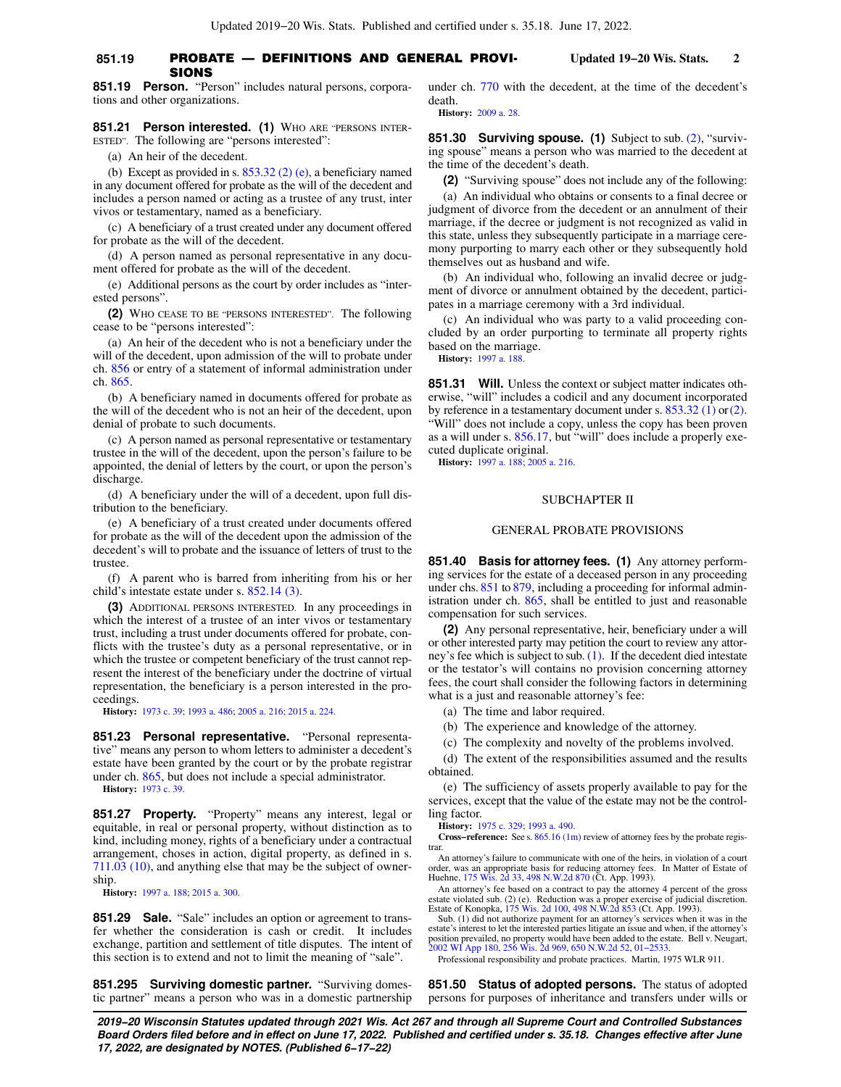#### **851.19 PROBATE — DEFINITIONS AND GENERAL PROVI-** Updated 19–20 Wis. Stats. 2 SIONS

**851.21 Person interested. (1)** WHO ARE "PERSONS INTER-ESTED". The following are "persons interested":

(a) An heir of the decedent.

(b) Except as provided in s. [853.32 \(2\) \(e\),](https://docs.legis.wisconsin.gov/document/statutes/853.32(2)(e)) a beneficiary named in any document offered for probate as the will of the decedent and includes a person named or acting as a trustee of any trust, inter vivos or testamentary, named as a beneficiary.

(c) A beneficiary of a trust created under any document offered for probate as the will of the decedent.

(d) A person named as personal representative in any document offered for probate as the will of the decedent.

(e) Additional persons as the court by order includes as "interested persons".

**(2)** WHO CEASE TO BE "PERSONS INTERESTED". The following cease to be "persons interested":

(a) An heir of the decedent who is not a beneficiary under the will of the decedent, upon admission of the will to probate under ch. [856](https://docs.legis.wisconsin.gov/document/statutes/ch.%20856) or entry of a statement of informal administration under ch. [865](https://docs.legis.wisconsin.gov/document/statutes/ch.%20865).

(b) A beneficiary named in documents offered for probate as the will of the decedent who is not an heir of the decedent, upon denial of probate to such documents.

(c) A person named as personal representative or testamentary trustee in the will of the decedent, upon the person's failure to be appointed, the denial of letters by the court, or upon the person's discharge.

(d) A beneficiary under the will of a decedent, upon full distribution to the beneficiary.

(e) A beneficiary of a trust created under documents offered for probate as the will of the decedent upon the admission of the decedent's will to probate and the issuance of letters of trust to the trustee.

(f) A parent who is barred from inheriting from his or her child's intestate estate under s. [852.14 \(3\)](https://docs.legis.wisconsin.gov/document/statutes/852.14(3)).

**(3)** ADDITIONAL PERSONS INTERESTED. In any proceedings in which the interest of a trustee of an inter vivos or testamentary trust, including a trust under documents offered for probate, conflicts with the trustee's duty as a personal representative, or in which the trustee or competent beneficiary of the trust cannot represent the interest of the beneficiary under the doctrine of virtual representation, the beneficiary is a person interested in the proceedings.

**History:** [1973 c. 39;](https://docs.legis.wisconsin.gov/document/acts/1973/39) [1993 a. 486;](https://docs.legis.wisconsin.gov/document/acts/1993/486) [2005 a. 216](https://docs.legis.wisconsin.gov/document/acts/2005/216); [2015 a. 224.](https://docs.legis.wisconsin.gov/document/acts/2015/224)

**851.23 Personal representative.** "Personal representative" means any person to whom letters to administer a decedent's estate have been granted by the court or by the probate registrar under ch. [865](https://docs.legis.wisconsin.gov/document/statutes/ch.%20865), but does not include a special administrator.

**History:** [1973 c. 39.](https://docs.legis.wisconsin.gov/document/acts/1973/39)

**851.27 Property.** "Property" means any interest, legal or equitable, in real or personal property, without distinction as to kind, including money, rights of a beneficiary under a contractual arrangement, choses in action, digital property, as defined in s. [711.03 \(10\),](https://docs.legis.wisconsin.gov/document/statutes/711.03(10)) and anything else that may be the subject of ownership.

**History:** [1997 a. 188](https://docs.legis.wisconsin.gov/document/acts/1997/188); [2015 a. 300](https://docs.legis.wisconsin.gov/document/acts/2015/300).

**851.29 Sale.** "Sale" includes an option or agreement to transfer whether the consideration is cash or credit. It includes exchange, partition and settlement of title disputes. The intent of this section is to extend and not to limit the meaning of "sale".

**851.295 Surviving domestic partner.** "Surviving domestic partner" means a person who was in a domestic partnership under ch. [770](https://docs.legis.wisconsin.gov/document/statutes/ch.%20770) with the decedent, at the time of the decedent's death. **History:** [2009 a. 28](https://docs.legis.wisconsin.gov/document/acts/2009/28).

**851.30 Surviving spouse. (1)** Subject to sub. [\(2\)](https://docs.legis.wisconsin.gov/document/statutes/851.30(2)), "surviving spouse" means a person who was married to the decedent at the time of the decedent's death.

**(2)** "Surviving spouse" does not include any of the following:

(a) An individual who obtains or consents to a final decree or judgment of divorce from the decedent or an annulment of their marriage, if the decree or judgment is not recognized as valid in this state, unless they subsequently participate in a marriage ceremony purporting to marry each other or they subsequently hold themselves out as husband and wife.

(b) An individual who, following an invalid decree or judgment of divorce or annulment obtained by the decedent, participates in a marriage ceremony with a 3rd individual.

(c) An individual who was party to a valid proceeding concluded by an order purporting to terminate all property rights based on the marriage.

**History:** [1997 a. 188.](https://docs.legis.wisconsin.gov/document/acts/1997/188)

**851.31 Will.** Unless the context or subject matter indicates otherwise, "will" includes a codicil and any document incorporated by reference in a testamentary document under s.  $853.32$  (1) or [\(2\).](https://docs.legis.wisconsin.gov/document/statutes/853.32(2)) "Will" does not include a copy, unless the copy has been proven as a will under s. [856.17,](https://docs.legis.wisconsin.gov/document/statutes/856.17) but "will" does include a properly executed duplicate original.

**History:** [1997 a. 188;](https://docs.legis.wisconsin.gov/document/acts/1997/188) [2005 a. 216](https://docs.legis.wisconsin.gov/document/acts/2005/216).

#### SUBCHAPTER II

### GENERAL PROBATE PROVISIONS

**851.40 Basis for attorney fees. (1)** Any attorney performing services for the estate of a deceased person in any proceeding under chs. [851](https://docs.legis.wisconsin.gov/document/statutes/ch.%20851) to [879](https://docs.legis.wisconsin.gov/document/statutes/ch.%20879), including a proceeding for informal administration under ch. [865,](https://docs.legis.wisconsin.gov/document/statutes/ch.%20865) shall be entitled to just and reasonable compensation for such services.

**(2)** Any personal representative, heir, beneficiary under a will or other interested party may petition the court to review any attorney's fee which is subject to sub. [\(1\)](https://docs.legis.wisconsin.gov/document/statutes/851.40(1)). If the decedent died intestate or the testator's will contains no provision concerning attorney fees, the court shall consider the following factors in determining what is a just and reasonable attorney's fee:

(a) The time and labor required.

(b) The experience and knowledge of the attorney.

(c) The complexity and novelty of the problems involved.

(d) The extent of the responsibilities assumed and the results obtained.

(e) The sufficiency of assets properly available to pay for the services, except that the value of the estate may not be the controlling factor.

**History:** [1975 c. 329;](https://docs.legis.wisconsin.gov/document/acts/1975/329) [1993 a. 490](https://docs.legis.wisconsin.gov/document/acts/1993/490).

**Cross−reference:** See s. [865.16 \(1m\)](https://docs.legis.wisconsin.gov/document/statutes/865.16(1m)) review of attorney fees by the probate registrar

An attorney's failure to communicate with one of the heirs, in violation of a court order, was an appropriate basis for reducing attorney fees. In Matter of Estate of Huehne, [175 Wis. 2d 33,](https://docs.legis.wisconsin.gov/document/courts/175%20Wis.%202d%2033) [498 N.W.2d 870](https://docs.legis.wisconsin.gov/document/courts/498%20N.W.2d%20870) (Ct. App. 1993).

An attorney's fee based on a contract to pay the attorney 4 percent of the gross estate violated sub. (2) (e). Reduction was a proper exercise of judicial discretion. Estate of Konopka, [175 Wis. 2d 100,](https://docs.legis.wisconsin.gov/document/courts/175%20Wis.%202d%20100) [498 N.W.2d 853](https://docs.legis.wisconsin.gov/document/courts/498%20N.W.2d%20853) (Ct. App. 1993).

Sub. (1) did not authorize payment for an attorney's services when it was in the estate's interest to let the interested parties litigate an issue and when, if the attorney's position prevailed, no property would have been added to the estate. Bell v. Neugart, [2002 WI App 180,](https://docs.legis.wisconsin.gov/document/courts/2002%20WI%20App%20180) [256 Wis. 2d 969](https://docs.legis.wisconsin.gov/document/courts/256%20Wis.%202d%20969), [650 N.W.2d 52,](https://docs.legis.wisconsin.gov/document/courts/650%20N.W.2d%2052) [01−2533.](https://docs.legis.wisconsin.gov/document/wicourtofappeals/01-2533)

Professional responsibility and probate practices. Martin, 1975 WLR 911.

**851.50 Status of adopted persons.** The status of adopted persons for purposes of inheritance and transfers under wills or

**2019−20 Wisconsin Statutes updated through 2021 Wis. Act 267 and through all Supreme Court and Controlled Substances Board Orders filed before and in effect on June 17, 2022. Published and certified under s. 35.18. Changes effective after June 17, 2022, are designated by NOTES. (Published 6−17−22)**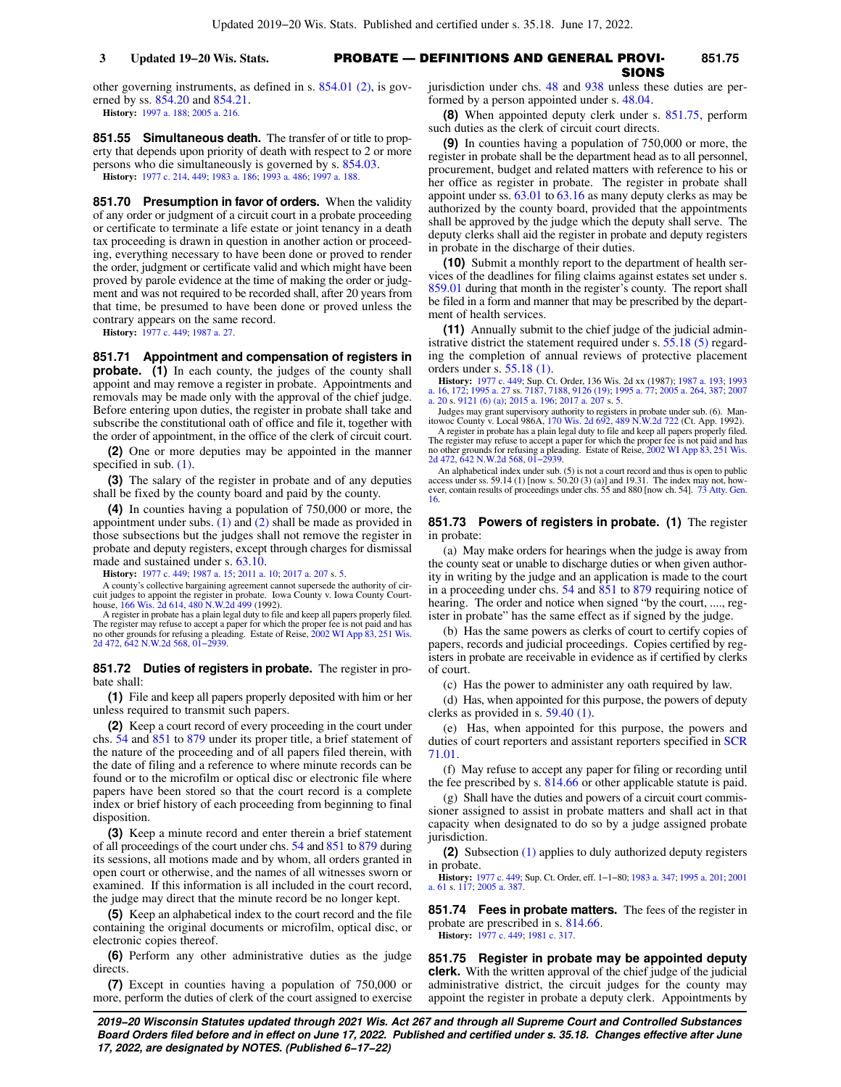### PROBATE — DEFINITIONS AND GENERAL PROVI-**3 Updated 19−20 Wis. Stats. 851.75** SIONS

other governing instruments, as defined in s. [854.01 \(2\)](https://docs.legis.wisconsin.gov/document/statutes/854.01(2)), is governed by ss. [854.20](https://docs.legis.wisconsin.gov/document/statutes/854.20) and [854.21.](https://docs.legis.wisconsin.gov/document/statutes/854.21)

**History:** [1997 a. 188](https://docs.legis.wisconsin.gov/document/acts/1997/188); [2005 a. 216](https://docs.legis.wisconsin.gov/document/acts/2005/216).

**851.55 Simultaneous death.** The transfer of or title to property that depends upon priority of death with respect to 2 or more persons who die simultaneously is governed by s. [854.03.](https://docs.legis.wisconsin.gov/document/statutes/854.03) **History:** [1977 c. 214](https://docs.legis.wisconsin.gov/document/acts/1977/214), [449](https://docs.legis.wisconsin.gov/document/acts/1977/449); [1983 a. 186](https://docs.legis.wisconsin.gov/document/acts/1983/186); [1993 a. 486;](https://docs.legis.wisconsin.gov/document/acts/1993/486) [1997 a. 188](https://docs.legis.wisconsin.gov/document/acts/1997/188).

**851.70 Presumption in favor of orders.** When the validity of any order or judgment of a circuit court in a probate proceeding or certificate to terminate a life estate or joint tenancy in a death tax proceeding is drawn in question in another action or proceeding, everything necessary to have been done or proved to render the order, judgment or certificate valid and which might have been proved by parole evidence at the time of making the order or judgment and was not required to be recorded shall, after 20 years from that time, be presumed to have been done or proved unless the contrary appears on the same record.

**History:** [1977 c. 449](https://docs.legis.wisconsin.gov/document/acts/1977/449); [1987 a. 27.](https://docs.legis.wisconsin.gov/document/acts/1987/27)

**851.71 Appointment and compensation of registers in probate.** (1) In each county, the judges of the county shall appoint and may remove a register in probate. Appointments and removals may be made only with the approval of the chief judge. Before entering upon duties, the register in probate shall take and subscribe the constitutional oath of office and file it, together with the order of appointment, in the office of the clerk of circuit court.

**(2)** One or more deputies may be appointed in the manner specified in sub. [\(1\).](https://docs.legis.wisconsin.gov/document/statutes/851.71(1))

**(3)** The salary of the register in probate and of any deputies shall be fixed by the county board and paid by the county.

**(4)** In counties having a population of 750,000 or more, the appointment under subs.  $(1)$  and  $(2)$  shall be made as provided in those subsections but the judges shall not remove the register in probate and deputy registers, except through charges for dismissal made and sustained under s. [63.10](https://docs.legis.wisconsin.gov/document/statutes/63.10).

**History:** [1977 c. 449](https://docs.legis.wisconsin.gov/document/acts/1977/449); [1987 a. 15;](https://docs.legis.wisconsin.gov/document/acts/1987/15) [2011 a. 10](https://docs.legis.wisconsin.gov/document/acts/2011/10); [2017 a. 207](https://docs.legis.wisconsin.gov/document/acts/2017/207) s. [5.](https://docs.legis.wisconsin.gov/document/acts/2017/207,%20s.%205)

A county's collective bargaining agreement cannot supersede the authority of circuit judges to appoint the register in probate. Iowa County v. Iowa County Court-house, [166 Wis. 2d 614,](https://docs.legis.wisconsin.gov/document/courts/166%20Wis.%202d%20614) [480 N.W.2d 499](https://docs.legis.wisconsin.gov/document/courts/480%20N.W.2d%20499) (1992).

A register in probate has a plain legal duty to file and keep all papers properly filed. The register may refuse to accept a paper for which the proper fee is not paid and has no other grounds for refusing a pleading. Estate of Reise, [2002 WI App 83](https://docs.legis.wisconsin.gov/document/courts/2002%20WI%20App%2083), [251 Wis.](https://docs.legis.wisconsin.gov/document/courts/251%20Wis.%202d%20472) [2d 472](https://docs.legis.wisconsin.gov/document/courts/251%20Wis.%202d%20472), [642 N.W.2d 568,](https://docs.legis.wisconsin.gov/document/courts/642%20N.W.2d%20568) [01−2939.](https://docs.legis.wisconsin.gov/document/wicourtofappeals/01-2939)

**851.72 Duties of registers in probate.** The register in probate shall:

**(1)** File and keep all papers properly deposited with him or her unless required to transmit such papers.

**(2)** Keep a court record of every proceeding in the court under chs. [54](https://docs.legis.wisconsin.gov/document/statutes/ch.%2054) and [851](https://docs.legis.wisconsin.gov/document/statutes/ch.%20851) to [879](https://docs.legis.wisconsin.gov/document/statutes/ch.%20879) under its proper title, a brief statement of the nature of the proceeding and of all papers filed therein, with the date of filing and a reference to where minute records can be found or to the microfilm or optical disc or electronic file where papers have been stored so that the court record is a complete index or brief history of each proceeding from beginning to final disposition.

**(3)** Keep a minute record and enter therein a brief statement of all proceedings of the court under chs. [54](https://docs.legis.wisconsin.gov/document/statutes/ch.%2054) and [851](https://docs.legis.wisconsin.gov/document/statutes/ch.%20851) to [879](https://docs.legis.wisconsin.gov/document/statutes/ch.%20879) during its sessions, all motions made and by whom, all orders granted in open court or otherwise, and the names of all witnesses sworn or examined. If this information is all included in the court record, the judge may direct that the minute record be no longer kept.

**(5)** Keep an alphabetical index to the court record and the file containing the original documents or microfilm, optical disc, or electronic copies thereof.

**(6)** Perform any other administrative duties as the judge directs.

**(7)** Except in counties having a population of 750,000 or more, perform the duties of clerk of the court assigned to exercise jurisdiction under chs. [48](https://docs.legis.wisconsin.gov/document/statutes/ch.%2048) and [938](https://docs.legis.wisconsin.gov/document/statutes/ch.%20938) unless these duties are performed by a person appointed under s. [48.04.](https://docs.legis.wisconsin.gov/document/statutes/48.04)

**(8)** When appointed deputy clerk under s. [851.75,](https://docs.legis.wisconsin.gov/document/statutes/851.75) perform such duties as the clerk of circuit court directs.

**(9)** In counties having a population of 750,000 or more, the register in probate shall be the department head as to all personnel, procurement, budget and related matters with reference to his or her office as register in probate. The register in probate shall appoint under ss. [63.01](https://docs.legis.wisconsin.gov/document/statutes/63.01) to [63.16](https://docs.legis.wisconsin.gov/document/statutes/63.16) as many deputy clerks as may be authorized by the county board, provided that the appointments shall be approved by the judge which the deputy shall serve. The deputy clerks shall aid the register in probate and deputy registers in probate in the discharge of their duties.

**(10)** Submit a monthly report to the department of health services of the deadlines for filing claims against estates set under s. [859.01](https://docs.legis.wisconsin.gov/document/statutes/859.01) during that month in the register's county. The report shall be filed in a form and manner that may be prescribed by the department of health services.

**(11)** Annually submit to the chief judge of the judicial admin-istrative district the statement required under s. [55.18 \(5\)](https://docs.legis.wisconsin.gov/document/statutes/55.18(5)) regarding the completion of annual reviews of protective placement orders under s. [55.18 \(1\)](https://docs.legis.wisconsin.gov/document/statutes/55.18(1)).

**History:** [1977 c. 449](https://docs.legis.wisconsin.gov/document/acts/1977/449); Sup. Ct. Order, 136 Wis. 2d xx (1987); [1987 a. 193;](https://docs.legis.wisconsin.gov/document/acts/1987/193) [1993](https://docs.legis.wisconsin.gov/document/acts/1993/16)<br>[a. 16](https://docs.legis.wisconsin.gov/document/acts/1993/16), [172](https://docs.legis.wisconsin.gov/document/acts/1993/172); [1995 a. 27](https://docs.legis.wisconsin.gov/document/acts/1995/27) ss. [7187](https://docs.legis.wisconsin.gov/document/acts/1995/27,%20s.%207187), [7188,](https://docs.legis.wisconsin.gov/document/acts/1995/27,%20s.%207188) [9126 \(19\)](https://docs.legis.wisconsin.gov/document/acts/1995/27,%20s.%209126); [1995 a. 77;](https://docs.legis.wisconsin.gov/document/acts/1995/77) [2005 a. 264,](https://docs.legis.wisconsin.gov/document/acts/2005/264) [387;](https://docs.legis.wisconsin.gov/document/acts/2005/387) [2007](https://docs.legis.wisconsin.gov/document/acts/2007/20)<br>[a. 20](https://docs.legis.wisconsin.gov/document/acts/2007/20) s. [9121 \(6\) \(a\)](https://docs.legis.wisconsin.gov/document/acts/2007/20,%20s.%209121); [2015 a. 196;](https://docs.legis.wisconsin.gov/document/acts/2015/196) [2017 a. 207](https://docs.legis.wisconsin.gov/document/acts/2017/207) s. [5](https://docs.legis.wisconsin.gov/document/acts/2017/207,%20s.%205).

Judges may grant supervisory authority to registers in probate under sub. (6). Man-itowoc County v. Local 986A, [170 Wis. 2d 692,](https://docs.legis.wisconsin.gov/document/courts/170%20Wis.%202d%20692) [489 N.W.2d 722](https://docs.legis.wisconsin.gov/document/courts/489%20N.W.2d%20722) (Ct. App. 1992). A register in probate has a plain legal duty to file and keep all papers properly filed. The register may refuse to accept a paper for which the proper fee is not paid and has no other grounds for refusing a pleading. Estate of Reise, [2002 WI App 83,](https://docs.legis.wisconsin.gov/document/courts/2002%20WI%20App%2083) [251 Wis.](https://docs.legis.wisconsin.gov/document/courts/251%20Wis.%202d%20472) [2d 472](https://docs.legis.wisconsin.gov/document/courts/251%20Wis.%202d%20472), [642 N.W.2d 568,](https://docs.legis.wisconsin.gov/document/courts/642%20N.W.2d%20568) [01−2939](https://docs.legis.wisconsin.gov/document/wicourtofappeals/01-2939).

An alphabetical index under sub. (5) is not a court record and thus is open to public access under ss. 59.14 (1) [now s. 50.20 (3) (a)] and 19.31. The index may not, how-ever, contain results of proceedings under chs. 55 and 880 [now ch. 54]. [73 Atty. Gen.](https://docs.legis.wisconsin.gov/document/oag/vol73-16) [16](https://docs.legis.wisconsin.gov/document/oag/vol73-16).

#### **851.73 Powers of registers in probate. (1)** The register in probate:

(a) May make orders for hearings when the judge is away from the county seat or unable to discharge duties or when given authority in writing by the judge and an application is made to the court in a proceeding under chs. [54](https://docs.legis.wisconsin.gov/document/statutes/ch.%2054) and [851](https://docs.legis.wisconsin.gov/document/statutes/ch.%20851) to [879](https://docs.legis.wisconsin.gov/document/statutes/ch.%20879) requiring notice of hearing. The order and notice when signed "by the court, ...., register in probate" has the same effect as if signed by the judge.

(b) Has the same powers as clerks of court to certify copies of papers, records and judicial proceedings. Copies certified by registers in probate are receivable in evidence as if certified by clerks of court.

(c) Has the power to administer any oath required by law.

(d) Has, when appointed for this purpose, the powers of deputy clerks as provided in s. [59.40 \(1\).](https://docs.legis.wisconsin.gov/document/statutes/59.40(1))

(e) Has, when appointed for this purpose, the powers and duties of court reporters and assistant reporters specified in [SCR](https://docs.legis.wisconsin.gov/document/scr/71.01) [71.01](https://docs.legis.wisconsin.gov/document/scr/71.01).

(f) May refuse to accept any paper for filing or recording until the fee prescribed by s. [814.66](https://docs.legis.wisconsin.gov/document/statutes/814.66) or other applicable statute is paid.

(g) Shall have the duties and powers of a circuit court commissioner assigned to assist in probate matters and shall act in that capacity when designated to do so by a judge assigned probate jurisdiction.

**(2)** Subsection [\(1\)](https://docs.legis.wisconsin.gov/document/statutes/851.73(1)) applies to duly authorized deputy registers in probate.

**History:** [1977 c. 449;](https://docs.legis.wisconsin.gov/document/acts/1977/449) Sup. Ct. Order, eff. 1−1−80; [1983 a. 347;](https://docs.legis.wisconsin.gov/document/acts/1983/347) [1995 a. 201](https://docs.legis.wisconsin.gov/document/acts/1995/201); [2001](https://docs.legis.wisconsin.gov/document/acts/2001/61) [a. 61](https://docs.legis.wisconsin.gov/document/acts/2001/61) s. [117;](https://docs.legis.wisconsin.gov/document/acts/2001/61,%20s.%20117) [2005 a. 387.](https://docs.legis.wisconsin.gov/document/acts/2005/387)

**851.74 Fees in probate matters.** The fees of the register in probate are prescribed in s. [814.66.](https://docs.legis.wisconsin.gov/document/statutes/814.66)

**History:** [1977 c. 449;](https://docs.legis.wisconsin.gov/document/acts/1977/449) [1981 c. 317](https://docs.legis.wisconsin.gov/document/acts/1981/317).

**851.75 Register in probate may be appointed deputy clerk.** With the written approval of the chief judge of the judicial administrative district, the circuit judges for the county may appoint the register in probate a deputy clerk. Appointments by

**2019−20 Wisconsin Statutes updated through 2021 Wis. Act 267 and through all Supreme Court and Controlled Substances Board Orders filed before and in effect on June 17, 2022. Published and certified under s. 35.18. Changes effective after June 17, 2022, are designated by NOTES. (Published 6−17−22)**